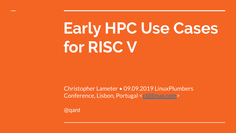# **Early HPC Use Cases for RISC V**

Christopher Lameter • 09.09.2019 LinuxPlumbers Conference, Lisbon, Portugal [<cl@linux.com](mailto:cl@linux.com)>

@qant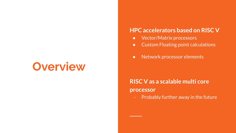## **Overview**

#### **HPC accelerators based on RISC V**

- Vector/Matrix processors
- Custom Floating point calculations
- Network processor elements

**RISC V as a scalable multi core processor**

- Probably further away in the future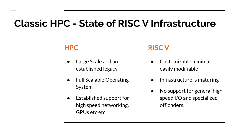### **Classic HPC - State of RISC V Infrastructure**

### **HPC**

- Large Scale and an established legacy
- **Full Scalable Operating** System
- Established support for high speed networking, GPUs etc etc.

#### **RISC V**

- Customizable minimal, easily modifiable
- Infrastructure is maturing
- No support for general high speed I/O and specialized offloaders.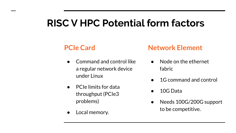### **RISC V HPC Potential form factors**

### **PCIe Card**

- Command and control like a regular network device under Linux
- PCIe limits for data throughput (PCIe3 problems)
- Local memory.

### **Network Element**

- Node on the ethernet fabric
- 1G command and control
- 10G Data
- Needs 100G/200G support to be competitive.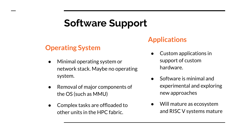### **Software Support**

#### **Operating System**

- Minimal operating system or network stack. Maybe no operating system.
- Removal of major components of the OS (such as MMU)
- Complex tasks are offloaded to other units in the HPC fabric.

### **Applications**

- Custom applications in support of custom hardware.
- Software is minimal and experimental and exploring new approaches
- Will mature as ecosystem and RISC V systems mature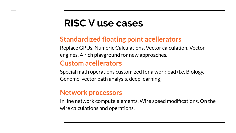### **RISC V use cases**

### **Standardized floating point acellerators**

Replace GPUs, Numeric Calculations, Vector calculation, Vector engines. A rich playground for new approaches.

### **Custom acellerators**

Special math operations customized for a workload (f.e. Biology, Genome, vector path analysis, deep learning)

#### **Network processors**

In line network compute elements. Wire speed modifications. On the wire calculations and operations.